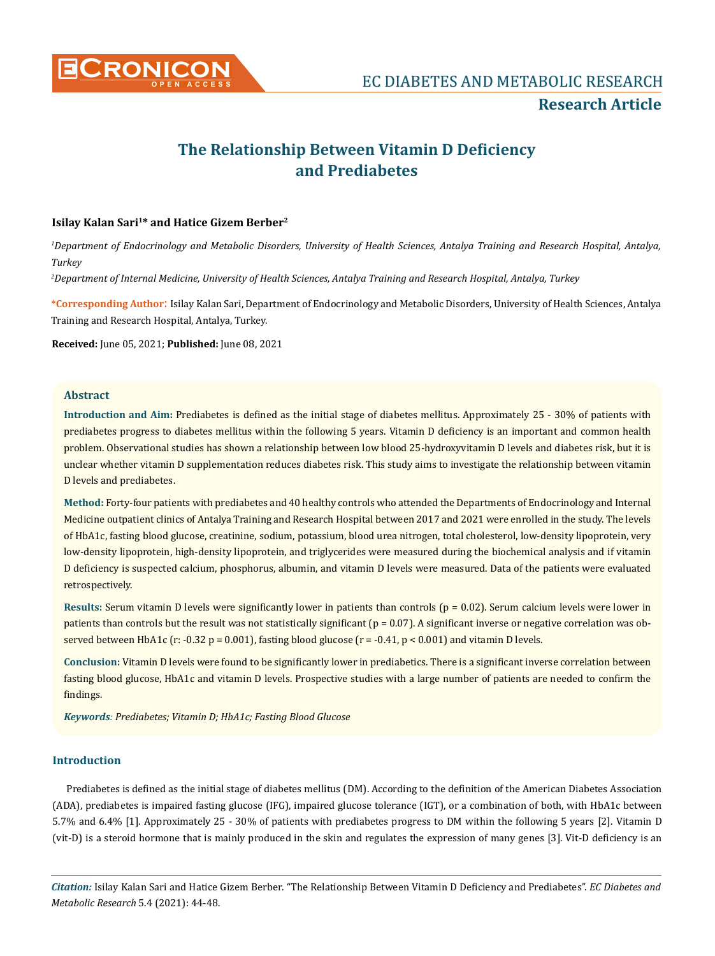

# **The Relationship Between Vitamin D Deficiency and Prediabetes**

# **Isilay Kalan Sari1\* and Hatice Gizem Berber2**

*1 Department of Endocrinology and Metabolic Disorders, University of Health Sciences, Antalya Training and Research Hospital, Antalya, Turkey* 

*2 Department of Internal Medicine, University of Health Sciences, Antalya Training and Research Hospital, Antalya, Turkey* 

**\*Corresponding Author**: Isilay Kalan Sari, Department of Endocrinology and Metabolic Disorders, University of Health Sciences, Antalya Training and Research Hospital, Antalya, Turkey.

**Received:** June 05, 2021; **Published:** June 08, 2021

# **Abstract**

**Introduction and Aim:** Prediabetes is defined as the initial stage of diabetes mellitus. Approximately 25 - 30% of patients with prediabetes progress to diabetes mellitus within the following 5 years. Vitamin D deficiency is an important and common health problem. Observational studies has shown a relationship between low blood 25-hydroxyvitamin D levels and diabetes risk, but it is unclear whether vitamin D supplementation reduces diabetes risk. This study aims to investigate the relationship between vitamin D levels and prediabetes.

**Method:** Forty-four patients with prediabetes and 40 healthy controls who attended the Departments of Endocrinology and Internal Medicine outpatient clinics of Antalya Training and Research Hospital between 2017 and 2021 were enrolled in the study. The levels of HbA1c, fasting blood glucose, creatinine, sodium, potassium, blood urea nitrogen, total cholesterol, low-density lipoprotein, very low-density lipoprotein, high-density lipoprotein, and triglycerides were measured during the biochemical analysis and if vitamin D deficiency is suspected calcium, phosphorus, albumin, and vitamin D levels were measured. Data of the patients were evaluated retrospectively.

**Results:** Serum vitamin D levels were significantly lower in patients than controls (p = 0.02). Serum calcium levels were lower in patients than controls but the result was not statistically significant ( $p = 0.07$ ). A significant inverse or negative correlation was observed between HbA1c (r: -0.32 p = 0.001), fasting blood glucose (r = -0.41, p < 0.001) and vitamin D levels.

**Conclusion:** Vitamin D levels were found to be significantly lower in prediabetics. There is a significant inverse correlation between fasting blood glucose, HbA1c and vitamin D levels. Prospective studies with a large number of patients are needed to confirm the findings.

*Keywords: Prediabetes; Vitamin D; HbA1c; Fasting Blood Glucose*

### **Introduction**

Prediabetes is defined as the initial stage of diabetes mellitus (DM). According to the definition of the American Diabetes Association (ADA), prediabetes is impaired fasting glucose (IFG), impaired glucose tolerance (IGT), or a combination of both, with HbA1c between 5.7% and 6.4% [1]. Approximately 25 - 30% of patients with prediabetes progress to DM within the following 5 years [2]. Vitamin D (vit-D) is a steroid hormone that is mainly produced in the skin and regulates the expression of many genes [3]. Vit-D deficiency is an

*Citation:* Isilay Kalan Sari and Hatice Gizem Berber*.* "The Relationship Between Vitamin D Deficiency and Prediabetes". *EC Diabetes and Metabolic Research* 5.4 (2021): 44-48.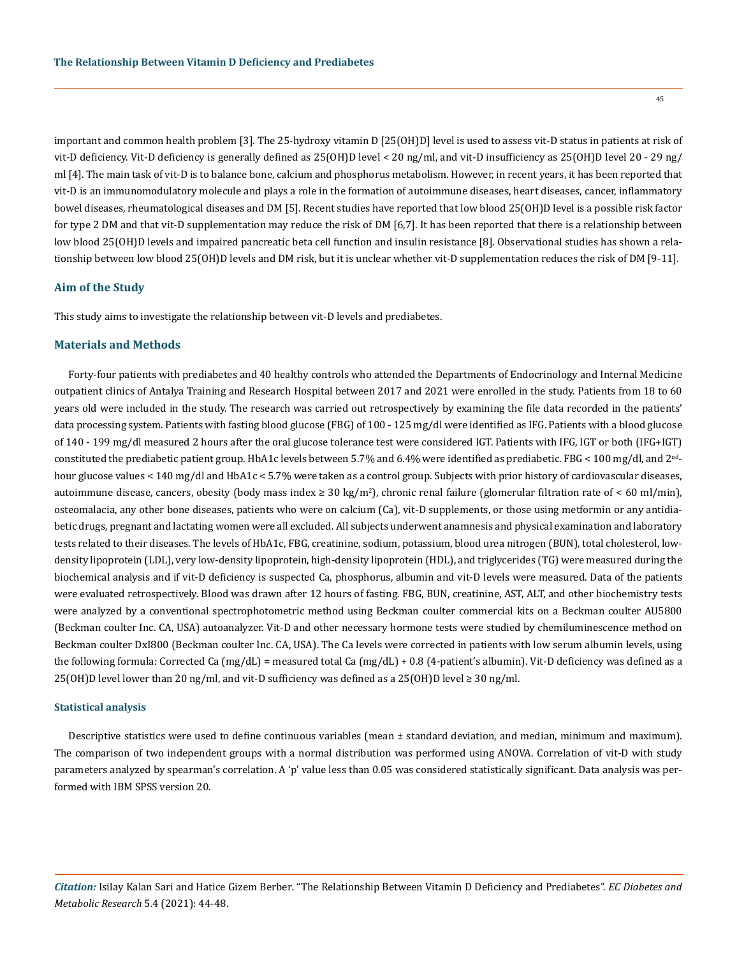45

important and common health problem [3]. The 25-hydroxy vitamin D [25(OH)D] level is used to assess vit-D status in patients at risk of vit-D deficiency. Vit-D deficiency is generally defined as 25(OH)D level < 20 ng/ml, and vit-D insufficiency as 25(OH)D level 20 - 29 ng/ ml [4]. The main task of vit-D is to balance bone, calcium and phosphorus metabolism. However, in recent years, it has been reported that vit-D is an immunomodulatory molecule and plays a role in the formation of autoimmune diseases, heart diseases, cancer, inflammatory bowel diseases, rheumatological diseases and DM [5]. Recent studies have reported that low blood 25(OH)D level is a possible risk factor for type 2 DM and that vit-D supplementation may reduce the risk of DM [6,7]. It has been reported that there is a relationship between low blood 25(OH)D levels and impaired pancreatic beta cell function and insulin resistance [8]. Observational studies has shown a relationship between low blood 25(OH)D levels and DM risk, but it is unclear whether vit-D supplementation reduces the risk of DM [9-11].

### **Aim of the Study**

This study aims to investigate the relationship between vit-D levels and prediabetes.

#### **Materials and Methods**

Forty-four patients with prediabetes and 40 healthy controls who attended the Departments of Endocrinology and Internal Medicine outpatient clinics of Antalya Training and Research Hospital between 2017 and 2021 were enrolled in the study. Patients from 18 to 60 years old were included in the study. The research was carried out retrospectively by examining the file data recorded in the patients' data processing system. Patients with fasting blood glucose (FBG) of 100 - 125 mg/dl were identified as IFG. Patients with a blood glucose of 140 - 199 mg/dl measured 2 hours after the oral glucose tolerance test were considered IGT. Patients with IFG, IGT or both (IFG+IGT) constituted the prediabetic patient group. HbA1c levels between 5.7% and 6.4% were identified as prediabetic. FBG < 100 mg/dl, and 2ndhour glucose values < 140 mg/dl and HbA1c < 5.7% were taken as a control group. Subjects with prior history of cardiovascular diseases, autoimmune disease, cancers, obesity (body mass index ≥ 30 kg/m<sup>2</sup>), chronic renal failure (glomerular filtration rate of < 60 ml/min), osteomalacia, any other bone diseases, patients who were on calcium (Ca), vit-D supplements, or those using metformin or any antidiabetic drugs, pregnant and lactating women were all excluded. All subjects underwent anamnesis and physical examination and laboratory tests related to their diseases. The levels of HbA1c, FBG, creatinine, sodium, potassium, blood urea nitrogen (BUN), total cholesterol, lowdensity lipoprotein (LDL), very low-density lipoprotein, high-density lipoprotein (HDL), and triglycerides (TG) were measured during the biochemical analysis and if vit-D deficiency is suspected Ca, phosphorus, albumin and vit-D levels were measured. Data of the patients were evaluated retrospectively. Blood was drawn after 12 hours of fasting. FBG, BUN, creatinine, AST, ALT, and other biochemistry tests were analyzed by a conventional spectrophotometric method using Beckman coulter commercial kits on a Beckman coulter AU5800 (Beckman coulter Inc. CA, USA) autoanalyzer. Vit-D and other necessary hormone tests were studied by chemiluminescence method on Beckman coulter DxI800 (Beckman coulter Inc. CA, USA). The Ca levels were corrected in patients with low serum albumin levels, using the following formula: Corrected Ca (mg/dL) = measured total Ca (mg/dL) + 0.8 (4-patient's albumin). Vit-D deficiency was defined as a 25(OH)D level lower than 20 ng/ml, and vit-D sufficiency was defined as a 25(OH)D level  $\geq 30$  ng/ml.

#### **Statistical analysis**

Descriptive statistics were used to define continuous variables (mean ± standard deviation, and median, minimum and maximum). The comparison of two independent groups with a normal distribution was performed using ANOVA. Correlation of vit-D with study parameters analyzed by spearman's correlation. A 'p' value less than 0.05 was considered statistically significant. Data analysis was performed with IBM SPSS version 20.

*Citation:* Isilay Kalan Sari and Hatice Gizem Berber*.* "The Relationship Between Vitamin D Deficiency and Prediabetes". *EC Diabetes and Metabolic Research* 5.4 (2021): 44-48.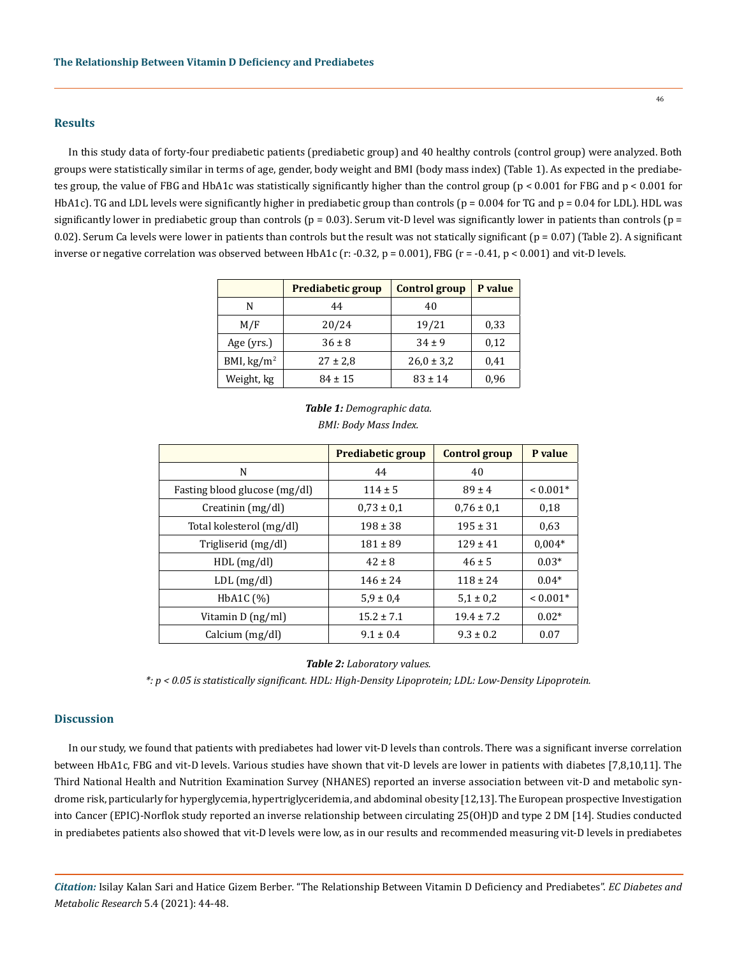#### **Results**

In this study data of forty-four prediabetic patients (prediabetic group) and 40 healthy controls (control group) were analyzed. Both groups were statistically similar in terms of age, gender, body weight and BMI (body mass index) (Table 1). As expected in the prediabetes group, the value of FBG and HbA1c was statistically significantly higher than the control group ( $p < 0.001$  for FBG and  $p < 0.001$  for HbA1c). TG and LDL levels were significantly higher in prediabetic group than controls ( $p = 0.004$  for TG and  $p = 0.04$  for LDL). HDL was significantly lower in prediabetic group than controls ( $p = 0.03$ ). Serum vit-D level was significantly lower in patients than controls ( $p =$ 0.02). Serum Ca levels were lower in patients than controls but the result was not statically significant ( $p = 0.07$ ) (Table 2). A significant inverse or negative correlation was observed between HbA1c (r: -0.32, p = 0.001), FBG (r = -0.41, p < 0.001) and vit-D levels.

|                      | Prediabetic group | <b>Control group</b> | P value |
|----------------------|-------------------|----------------------|---------|
| N                    | 44                | 40                   |         |
| M/F                  | 20/24             | 19/21                | 0,33    |
| Age (yrs.)           | $36 \pm 8$        | $34 \pm 9$           | 0,12    |
| BMI, $\text{kg/m}^2$ | $27 \pm 2.8$      | $26,0 \pm 3,2$       | 0,41    |
| Weight, kg           | $84 \pm 15$       | $83 \pm 14$          | 0,96    |

|                               | Prediabetic group | <b>Control group</b> | P value    |
|-------------------------------|-------------------|----------------------|------------|
| N                             | 44                | 40                   |            |
| Fasting blood glucose (mg/dl) | $114 \pm 5$       | $89 \pm 4$           | $< 0.001*$ |
| Creatinin (mg/dl)             | $0.73 \pm 0.1$    | $0.76 \pm 0.1$       | 0,18       |
| Total kolesterol (mg/dl)      | $198 \pm 38$      | $195 \pm 31$         | 0.63       |
| Trigliserid (mg/dl)           | $181 \pm 89$      | $129 \pm 41$         | $0.004*$   |
| HDL(mg/dl)                    | $42 \pm 8$        | $46 \pm 5$           | $0.03*$    |
| $LDL$ (mg/dl)                 | $146 \pm 24$      | $118 \pm 24$         | $0.04*$    |
| HbA <sub>1</sub> C $(\%)$     | $5.9 \pm 0.4$     | $5.1 \pm 0.2$        | $< 0.001*$ |
| Vitamin D (ng/ml)             | $15.2 \pm 7.1$    | $19.4 \pm 7.2$       | $0.02*$    |
| Calcium $(mg/dl)$             | $9.1 \pm 0.4$     | $9.3 \pm 0.2$        | 0.07       |

## *Table 1: Demographic data. BMI: Body Mass Index.*

*Table 2: Laboratory values.*

*\*: p < 0.05 is statistically significant. HDL: High-Density Lipoprotein; LDL: Low-Density Lipoprotein.*

#### **Discussion**

In our study, we found that patients with prediabetes had lower vit-D levels than controls. There was a significant inverse correlation between HbA1c, FBG and vit-D levels. Various studies have shown that vit-D levels are lower in patients with diabetes [7,8,10,11]. The Third National Health and Nutrition Examination Survey (NHANES) reported an inverse association between vit-D and metabolic syndrome risk, particularly for hyperglycemia, hypertriglyceridemia, and abdominal obesity [12,13]. The European prospective Investigation into Cancer (EPIC)-Norflok study reported an inverse relationship between circulating 25(OH)D and type 2 DM [14]. Studies conducted in prediabetes patients also showed that vit-D levels were low, as in our results and recommended measuring vit-D levels in prediabetes

*Citation:* Isilay Kalan Sari and Hatice Gizem Berber*.* "The Relationship Between Vitamin D Deficiency and Prediabetes". *EC Diabetes and Metabolic Research* 5.4 (2021): 44-48.

46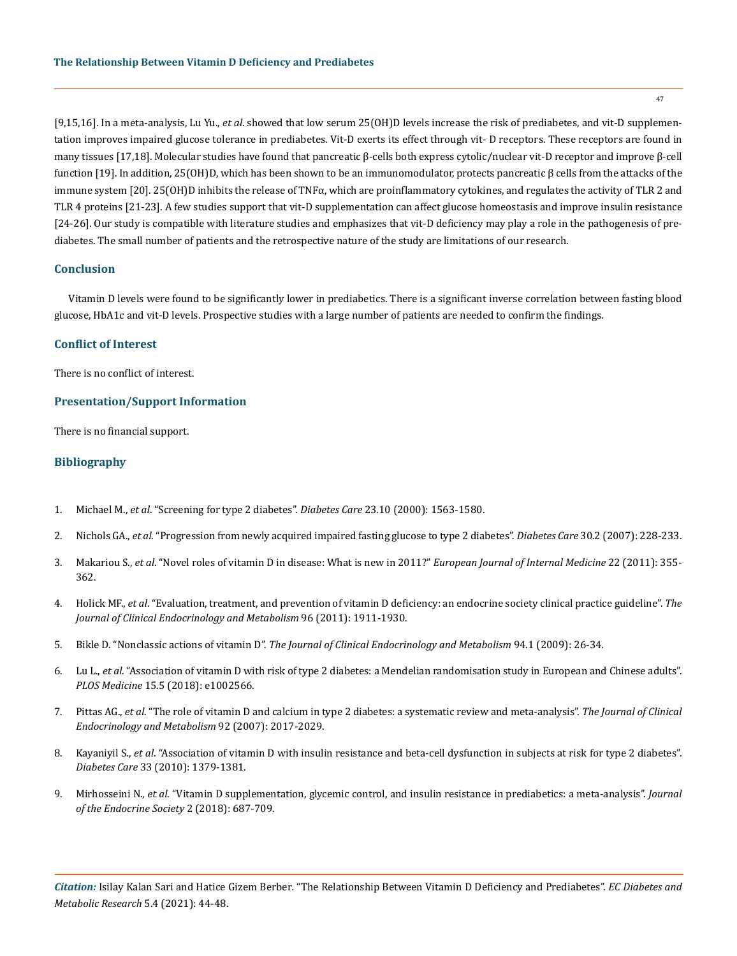[9,15,16]. In a meta-analysis, Lu Yu., *et al*. showed that low serum 25(OH)D levels increase the risk of prediabetes, and vit-D supplementation improves impaired glucose tolerance in prediabetes. Vit-D exerts its effect through vit- D receptors. These receptors are found in many tissues [17,18]. Molecular studies have found that pancreatic β-cells both express cytolic/nuclear vit-D receptor and improve β-cell function [19]. In addition, 25(OH)D, which has been shown to be an immunomodulator, protects pancreatic β cells from the attacks of the immune system [20]. 25(OH)D inhibits the release of TNFα, which are proinflammatory cytokines, and regulates the activity of TLR 2 and TLR 4 proteins [21-23]. A few studies support that vit-D supplementation can affect glucose homeostasis and improve insulin resistance [24-26]. Our study is compatible with literature studies and emphasizes that vit-D deficiency may play a role in the pathogenesis of prediabetes. The small number of patients and the retrospective nature of the study are limitations of our research.

#### **Conclusion**

Vitamin D levels were found to be significantly lower in prediabetics. There is a significant inverse correlation between fasting blood glucose, HbA1c and vit-D levels. Prospective studies with a large number of patients are needed to confirm the findings.

#### **Conflict of Interest**

There is no conflict of interest.

#### **Presentation/Support Information**

There is no financial support.

#### **Bibliography**

- 1. Michael M., *et al*[. "Screening for type 2 diabetes".](https://care.diabetesjournals.org/content/27/suppl_1/s11) *Diabetes Care* 23.10 (2000): 1563-1580.
- 2. Nichols GA., *et al*[. "Progression from newly acquired impaired fasting glucose to type 2 diabetes".](https://pubmed.ncbi.nlm.nih.gov/17259486/) *Diabetes Care* 30.2 (2007): 228-233.
- 3. Makariou S., *et al*[. "Novel roles of vitamin D in disease: What is new in 2011?"](https://www.ejinme.com/article/S0953-6205(11)00091-4/fulltext) *European Journal of Internal Medicine* 22 (2011): 355- [362.](https://www.ejinme.com/article/S0953-6205(11)00091-4/fulltext)
- 4. Holick MF., *et al*[. "Evaluation, treatment, and prevention of vitamin D deficiency: an endocrine society clinical practice guideline".](https://academic.oup.com/jcem/article/96/7/1911/2833671) *The [Journal of Clinical Endocrinology and Metabolism](https://academic.oup.com/jcem/article/96/7/1911/2833671)* 96 (2011): 1911-1930.
- 5. Bikle D. "Nonclassic actions of vitamin D". *[The Journal of Clinical Endocrinology and Metabolism](https://pubmed.ncbi.nlm.nih.gov/18854395/)* 94.1 (2009): 26-34.
- 6. Lu L., *et al*[. "Association of vitamin D with risk of type 2 diabetes: a Mendelian randomisation study in European and Chinese adults".](https://pubmed.ncbi.nlm.nih.gov/29718904/)  *PLOS Medicine* [15.5 \(2018\): e1002566.](https://pubmed.ncbi.nlm.nih.gov/29718904/)
- 7. Pittas AG., *et al*[. "The role of vitamin D and calcium in type 2 diabetes: a systematic review and meta-analysis".](https://pubmed.ncbi.nlm.nih.gov/17389701/) *The Journal of Clinical [Endocrinology and Metabolism](https://pubmed.ncbi.nlm.nih.gov/17389701/)* 92 (2007): 2017-2029.
- 8. Kayaniyil S., *et al*[. "Association of vitamin D with insulin resistance and beta-cell dysfunction in subjects at risk for type 2 diabetes".](https://pubmed.ncbi.nlm.nih.gov/20215450/)  *Diabetes Care* [33 \(2010\): 1379-1381.](https://pubmed.ncbi.nlm.nih.gov/20215450/)
- 9. Mirhosseini N., *et al*[. "Vitamin D supplementation, glycemic control, and insulin resistance in prediabetics: a meta-analysis".](https://pubmed.ncbi.nlm.nih.gov/29951596/) *Journal [of the Endocrine Society](https://pubmed.ncbi.nlm.nih.gov/29951596/)* 2 (2018): 687-709.

*Citation:* Isilay Kalan Sari and Hatice Gizem Berber*.* "The Relationship Between Vitamin D Deficiency and Prediabetes". *EC Diabetes and Metabolic Research* 5.4 (2021): 44-48.

47